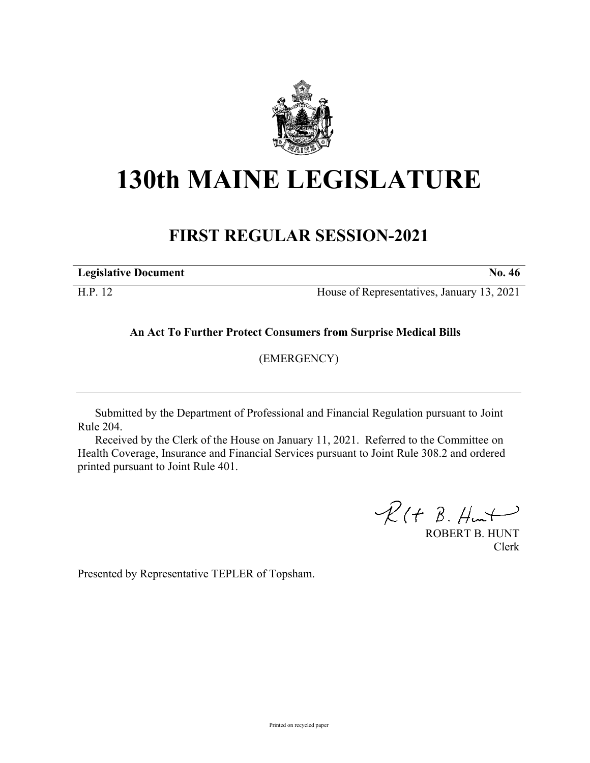

## **130th MAINE LEGISLATURE**

## **FIRST REGULAR SESSION-2021**

**Legislative Document No. 46**

H.P. 12 House of Representatives, January 13, 2021

**An Act To Further Protect Consumers from Surprise Medical Bills**

(EMERGENCY)

Submitted by the Department of Professional and Financial Regulation pursuant to Joint Rule 204.

Received by the Clerk of the House on January 11, 2021. Referred to the Committee on Health Coverage, Insurance and Financial Services pursuant to Joint Rule 308.2 and ordered printed pursuant to Joint Rule 401.

 $R(H B. H<sub>un</sub>)$ 

ROBERT B. HUNT Clerk

Presented by Representative TEPLER of Topsham.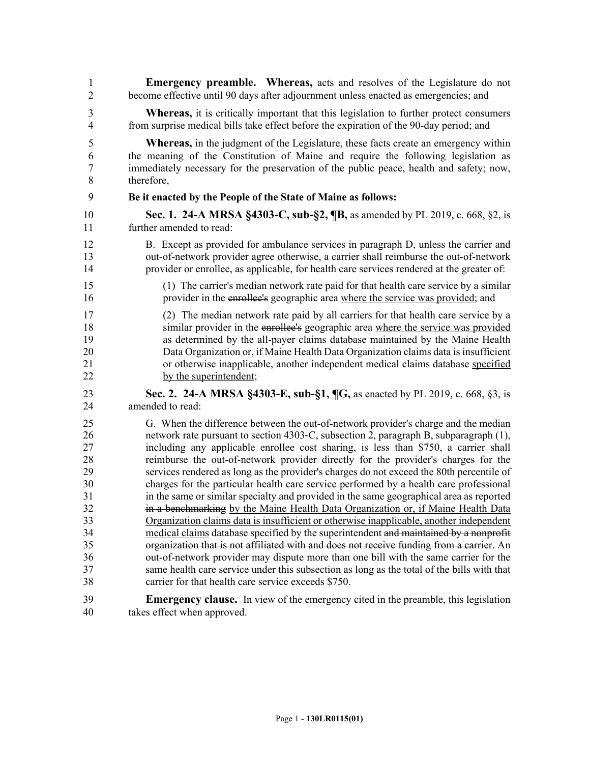| 1                | <b>Emergency preamble.</b> Whereas, acts and resolves of the Legislature do not               |
|------------------|-----------------------------------------------------------------------------------------------|
| $\overline{2}$   | become effective until 90 days after adjournment unless enacted as emergencies; and           |
| 3                | <b>Whereas,</b> it is critically important that this legislation to further protect consumers |
| 4                | from surprise medical bills take effect before the expiration of the 90-day period; and       |
| 5                | <b>Whereas</b> , in the judgment of the Legislature, these facts create an emergency within   |
| 6                | the meaning of the Constitution of Maine and require the following legislation as             |
| $\boldsymbol{7}$ | immediately necessary for the preservation of the public peace, health and safety; now,       |
| 8                | therefore,                                                                                    |
| 9                | Be it enacted by the People of the State of Maine as follows:                                 |
| 10               | Sec. 1. 24-A MRSA §4303-C, sub-§2, ¶B, as amended by PL 2019, c. 668, §2, is                  |
| 11               | further amended to read:                                                                      |
| 12               | B. Except as provided for ambulance services in paragraph D, unless the carrier and           |
| 13               | out-of-network provider agree otherwise, a carrier shall reimburse the out-of-network         |
| 14               | provider or enrollee, as applicable, for health care services rendered at the greater of:     |
| 15               | (1) The carrier's median network rate paid for that health care service by a similar          |
| 16               | provider in the enrollee's geographic area where the service was provided; and                |
| 17               | (2) The median network rate paid by all carriers for that health care service by a            |
| 18               | similar provider in the enrollee's geographic area where the service was provided             |
| 19               | as determined by the all-payer claims database maintained by the Maine Health                 |
| 20               | Data Organization or, if Maine Health Data Organization claims data is insufficient           |
| 21               | or otherwise inapplicable, another independent medical claims database specified              |
| 22               | by the superintendent;                                                                        |
| 23               | Sec. 2. 24-A MRSA §4303-E, sub-§1, ¶G, as enacted by PL 2019, c. 668, §3, is                  |
| 24               | amended to read:                                                                              |
| 25               | G. When the difference between the out-of-network provider's charge and the median            |
| 26               | network rate pursuant to section 4303-C, subsection 2, paragraph B, subparagraph (1),         |
| 27               | including any applicable enrollee cost sharing, is less than \$750, a carrier shall           |
| 28               | reimburse the out-of-network provider directly for the provider's charges for the             |
| 29               | services rendered as long as the provider's charges do not exceed the 80th percentile of      |
| 30               | charges for the particular health care service performed by a health care professional        |
| 31               | in the same or similar specialty and provided in the same geographical area as reported       |
| 32               | in a benchmarking by the Maine Health Data Organization or, if Maine Health Data              |
| 33               | Organization claims data is insufficient or otherwise inapplicable, another independent       |
| 34               | medical claims database specified by the superintendent and maintained by a nonprofit         |
| 35               | organization that is not affiliated with and does not receive funding from a carrier. An      |
| 36               | out-of-network provider may dispute more than one bill with the same carrier for the          |
| 37               | same health care service under this subsection as long as the total of the bills with that    |
| 38               | carrier for that health care service exceeds \$750.                                           |
| 39               | <b>Emergency clause.</b> In view of the emergency cited in the preamble, this legislation     |
| 40               | takes effect when approved.                                                                   |